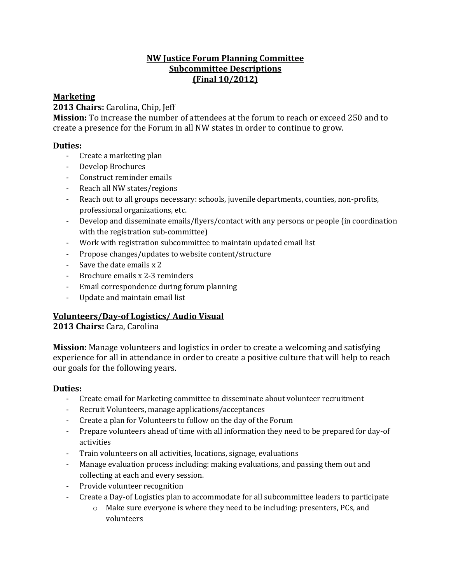# **NW Justice Forum Planning Committee Subcommittee Descriptions (Final 10/2012)**

# **Marketing**

## **2013 Chairs:** Carolina, Chip, Jeff

**Mission:** To increase the number of attendees at the forum to reach or exceed 250 and to create a presence for the Forum in all NW states in order to continue to grow.

# **Duties:**

- Create a marketing plan
- Develop Brochures
- Construct reminder emails
- Reach all NW states/regions
- Reach out to all groups necessary: schools, juvenile departments, counties, non-profits, professional organizations, etc.
- Develop and disseminate emails/flyers/contact with any persons or people (in coordination with the registration sub-committee)
- Work with registration subcommittee to maintain updated email list
- Propose changes/updates to website content/structure
- Save the date emails x 2
- Brochure emails x 2-3 reminders
- Email correspondence during forum planning
- Update and maintain email list

# **Volunteers/Day-of Logistics/ Audio Visual**

# **2013 Chairs:** Cara, Carolina

**Mission**: Manage volunteers and logistics in order to create a welcoming and satisfying experience for all in attendance in order to create a positive culture that will help to reach our goals for the following years.

## **Duties:**

- Create email for Marketing committee to disseminate about volunteer recruitment
- Recruit Volunteers, manage applications/acceptances
- Create a plan for Volunteers to follow on the day of the Forum
- Prepare volunteers ahead of time with all information they need to be prepared for day-of activities
- Train volunteers on all activities, locations, signage, evaluations
- Manage evaluation process including: making evaluations, and passing them out and collecting at each and every session.
- Provide volunteer recognition
- Create a Day-of Logistics plan to accommodate for all subcommittee leaders to participate
	- o Make sure everyone is where they need to be including: presenters, PCs, and volunteers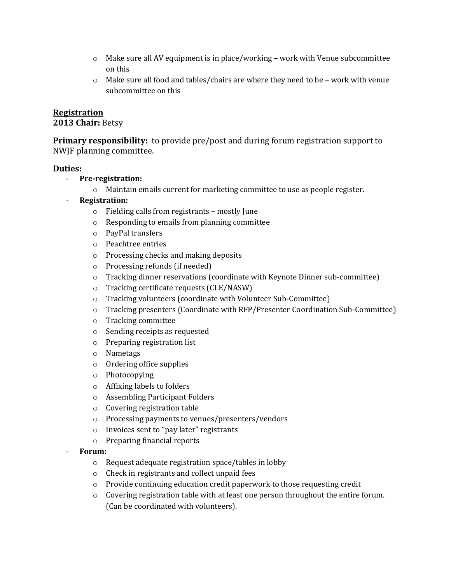- $\circ$  Make sure all AV equipment is in place/working work with Venue subcommittee on this
- $\circ$  Make sure all food and tables/chairs are where they need to be work with venue subcommittee on this

### **Registration**

#### **2013 Chair:** Betsy

**Primary responsibility:** to provide pre/post and during forum registration support to NWJF planning committee.

#### **Duties:**

- **Pre-registration:**
	- o Maintain emails current for marketing committee to use as people register.
	- **Registration:**
		- o Fielding calls from registrants mostly June
		- o Responding to emails from planning committee
		- o PayPal transfers
		- o Peachtree entries
		- o Processing checks and making deposits
		- o Processing refunds (if needed)
		- o Tracking dinner reservations (coordinate with Keynote Dinner sub-committee)
		- o Tracking certificate requests (CLE/NASW)
		- o Tracking volunteers (coordinate with Volunteer Sub-Committee)
		- o Tracking presenters (Coordinate with RFP/Presenter Coordination Sub-Committee)
		- o Tracking committee
		- o Sending receipts as requested
		- o Preparing registration list
		- o Nametags
		- o Ordering office supplies
		- o Photocopying
		- o Affixing labels to folders
		- o Assembling Participant Folders
		- o Covering registration table
		- o Processing payments to venues/presenters/vendors
		- o Invoices sent to "pay later" registrants
		- o Preparing financial reports
	- **Forum:**
		- o Request adequate registration space/tables in lobby
		- o Check in registrants and collect unpaid fees
		- o Provide continuing education credit paperwork to those requesting credit
		- $\circ$  Covering registration table with at least one person throughout the entire forum. (Can be coordinated with volunteers).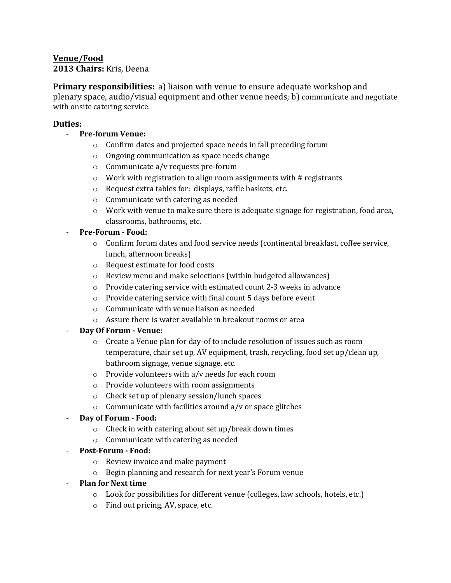# **Venue/Food**

## **2013 Chairs:** Kris, Deena

**Primary responsibilities:** a) liaison with venue to ensure adequate workshop and plenary space, audio/visual equipment and other venue needs; b) communicate and negotiate with onsite catering service.

#### **Duties:**

- **Pre-forum Venue:**
	- o Confirm dates and projected space needs in fall preceding forum
	- o Ongoing communication as space needs change
	- o Communicate a/v requests pre-forum
	- o Work with registration to align room assignments with # registrants
	- o Request extra tables for: displays, raffle baskets, etc.
	- o Communicate with catering as needed
	- o Work with venue to make sure there is adequate signage for registration, food area, classrooms, bathrooms, etc.

#### - **Pre-Forum - Food:**

- o Confirm forum dates and food service needs (continental breakfast, coffee service, lunch, afternoon breaks)
- o Request estimate for food costs
- o Review menu and make selections (within budgeted allowances)
- o Provide catering service with estimated count 2-3 weeks in advance
- o Provide catering service with final count 5 days before event
- o Communicate with venue liaison as needed
- o Assure there is water available in breakout rooms or area

## - **Day Of Forum - Venue:**

- o Create a Venue plan for day-of to include resolution of issues such as room temperature, chair set up, AV equipment, trash, recycling, food set up/clean up, bathroom signage, venue signage, etc.
- o Provide volunteers with a/v needs for each room
- o Provide volunteers with room assignments
- o Check set up of plenary session/lunch spaces
- $\circ$  Communicate with facilities around a/v or space glitches
- **Day of Forum - Food:**
	- o Check in with catering about set up/break down times
	- o Communicate with catering as needed
- **Post-Forum - Food:**
	- o Review invoice and make payment
	- o Begin planning and research for next year's Forum venue
- **Plan for Next time**
	- o Look for possibilities for different venue (colleges, law schools, hotels, etc.)
	- o Find out pricing, AV, space, etc.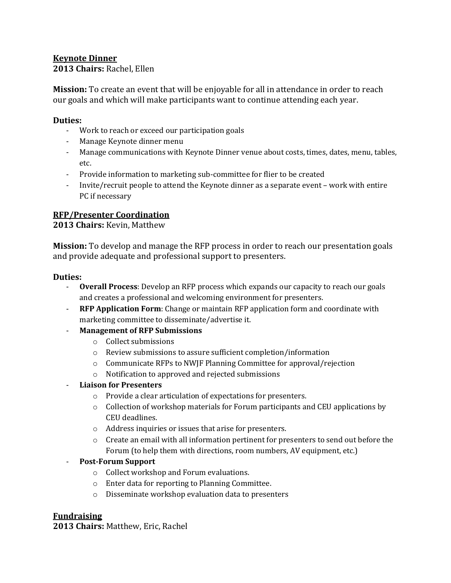# **Keynote Dinner**

**2013 Chairs:** Rachel, Ellen

**Mission:** To create an event that will be enjoyable for all in attendance in order to reach our goals and which will make participants want to continue attending each year.

## **Duties:**

- Work to reach or exceed our participation goals
- Manage Keynote dinner menu
- Manage communications with Keynote Dinner venue about costs, times, dates, menu, tables, etc.
- Provide information to marketing sub-committee for flier to be created
- Invite/recruit people to attend the Keynote dinner as a separate event work with entire PC if necessary

# **RFP/Presenter Coordination**

**2013 Chairs:** Kevin, Matthew

**Mission:** To develop and manage the RFP process in order to reach our presentation goals and provide adequate and professional support to presenters.

## **Duties:**

- **Overall Process**: Develop an RFP process which expands our capacity to reach our goals and creates a professional and welcoming environment for presenters.
- **RFP Application Form**: Change or maintain RFP application form and coordinate with marketing committee to disseminate/advertise it.
- **Management of RFP Submissions**
	- o Collect submissions
	- o Review submissions to assure sufficient completion/information
	- $\circ$  Communicate RFPs to NWJF Planning Committee for approval/rejection
	- o Notification to approved and rejected submissions

## - **Liaison for Presenters**

- o Provide a clear articulation of expectations for presenters.
- $\circ$  Collection of workshop materials for Forum participants and CEU applications by CEU deadlines.
- o Address inquiries or issues that arise for presenters.
- $\circ$  Create an email with all information pertinent for presenters to send out before the Forum (to help them with directions, room numbers, AV equipment, etc.)

# - **Post-Forum Support**

- o Collect workshop and Forum evaluations.
- o Enter data for reporting to Planning Committee.
- o Disseminate workshop evaluation data to presenters

# **Fundraising**

**2013 Chairs:** Matthew, Eric, Rachel